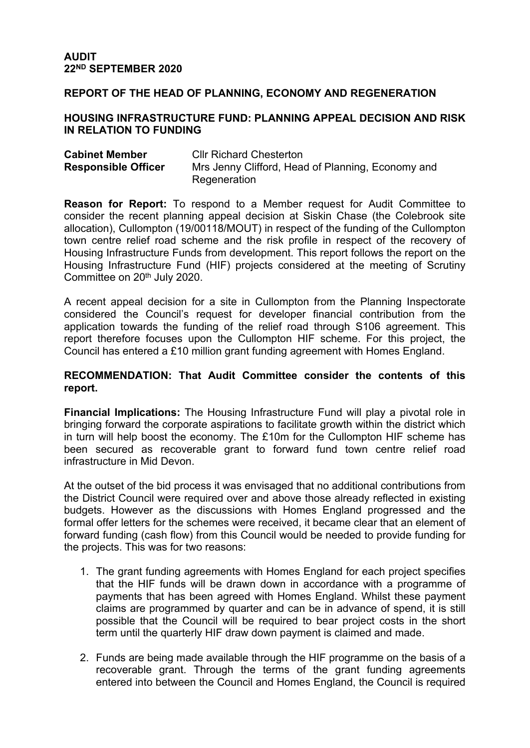#### **REPORT OF THE HEAD OF PLANNING, ECONOMY AND REGENERATION**

#### **HOUSING INFRASTRUCTURE FUND: PLANNING APPEAL DECISION AND RISK IN RELATION TO FUNDING**

| <b>Cabinet Member</b>      | <b>CIIr Richard Chesterton</b>                    |
|----------------------------|---------------------------------------------------|
| <b>Responsible Officer</b> | Mrs Jenny Clifford, Head of Planning, Economy and |
|                            | Regeneration                                      |

**Reason for Report:** To respond to a Member request for Audit Committee to consider the recent planning appeal decision at Siskin Chase (the Colebrook site allocation), Cullompton (19/00118/MOUT) in respect of the funding of the Cullompton town centre relief road scheme and the risk profile in respect of the recovery of Housing Infrastructure Funds from development. This report follows the report on the Housing Infrastructure Fund (HIF) projects considered at the meeting of Scrutiny Committee on 20<sup>th</sup> July 2020.

A recent appeal decision for a site in Cullompton from the Planning Inspectorate considered the Council's request for developer financial contribution from the application towards the funding of the relief road through S106 agreement. This report therefore focuses upon the Cullompton HIF scheme. For this project, the Council has entered a £10 million grant funding agreement with Homes England.

#### **RECOMMENDATION: That Audit Committee consider the contents of this report.**

**Financial Implications:** The Housing Infrastructure Fund will play a pivotal role in bringing forward the corporate aspirations to facilitate growth within the district which in turn will help boost the economy. The £10m for the Cullompton HIF scheme has been secured as recoverable grant to forward fund town centre relief road infrastructure in Mid Devon.

At the outset of the bid process it was envisaged that no additional contributions from the District Council were required over and above those already reflected in existing budgets. However as the discussions with Homes England progressed and the formal offer letters for the schemes were received, it became clear that an element of forward funding (cash flow) from this Council would be needed to provide funding for the projects. This was for two reasons:

- 1. The grant funding agreements with Homes England for each project specifies that the HIF funds will be drawn down in accordance with a programme of payments that has been agreed with Homes England. Whilst these payment claims are programmed by quarter and can be in advance of spend, it is still possible that the Council will be required to bear project costs in the short term until the quarterly HIF draw down payment is claimed and made.
- 2. Funds are being made available through the HIF programme on the basis of a recoverable grant. Through the terms of the grant funding agreements entered into between the Council and Homes England, the Council is required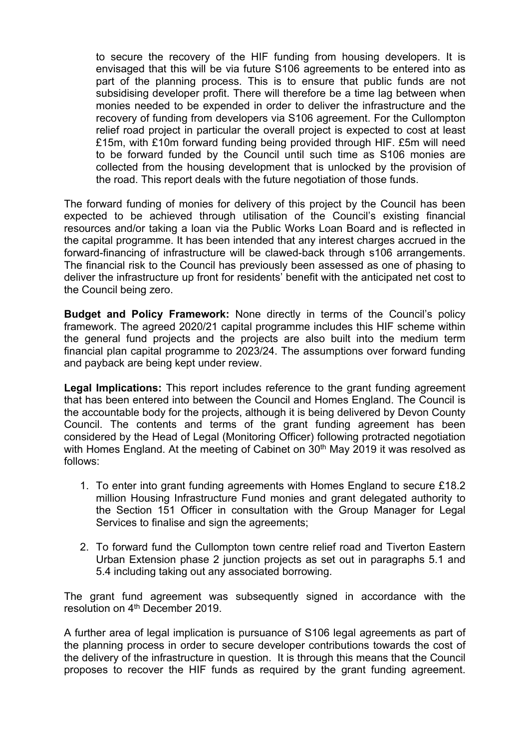to secure the recovery of the HIF funding from housing developers. It is envisaged that this will be via future S106 agreements to be entered into as part of the planning process. This is to ensure that public funds are not subsidising developer profit. There will therefore be a time lag between when monies needed to be expended in order to deliver the infrastructure and the recovery of funding from developers via S106 agreement. For the Cullompton relief road project in particular the overall project is expected to cost at least £15m, with £10m forward funding being provided through HIF. £5m will need to be forward funded by the Council until such time as S106 monies are collected from the housing development that is unlocked by the provision of the road. This report deals with the future negotiation of those funds.

The forward funding of monies for delivery of this project by the Council has been expected to be achieved through utilisation of the Council's existing financial resources and/or taking a loan via the Public Works Loan Board and is reflected in the capital programme. It has been intended that any interest charges accrued in the forward-financing of infrastructure will be clawed-back through s106 arrangements. The financial risk to the Council has previously been assessed as one of phasing to deliver the infrastructure up front for residents' benefit with the anticipated net cost to the Council being zero.

**Budget and Policy Framework:** None directly in terms of the Council's policy framework. The agreed 2020/21 capital programme includes this HIF scheme within the general fund projects and the projects are also built into the medium term financial plan capital programme to 2023/24. The assumptions over forward funding and payback are being kept under review.

**Legal Implications:** This report includes reference to the grant funding agreement that has been entered into between the Council and Homes England. The Council is the accountable body for the projects, although it is being delivered by Devon County Council. The contents and terms of the grant funding agreement has been considered by the Head of Legal (Monitoring Officer) following protracted negotiation with Homes England. At the meeting of Cabinet on 30<sup>th</sup> May 2019 it was resolved as follows:

- 1. To enter into grant funding agreements with Homes England to secure £18.2 million Housing Infrastructure Fund monies and grant delegated authority to the Section 151 Officer in consultation with the Group Manager for Legal Services to finalise and sign the agreements;
- 2. To forward fund the Cullompton town centre relief road and Tiverton Eastern Urban Extension phase 2 junction projects as set out in paragraphs 5.1 and 5.4 including taking out any associated borrowing.

The grant fund agreement was subsequently signed in accordance with the resolution on 4<sup>th</sup> December 2019.

A further area of legal implication is pursuance of S106 legal agreements as part of the planning process in order to secure developer contributions towards the cost of the delivery of the infrastructure in question. It is through this means that the Council proposes to recover the HIF funds as required by the grant funding agreement.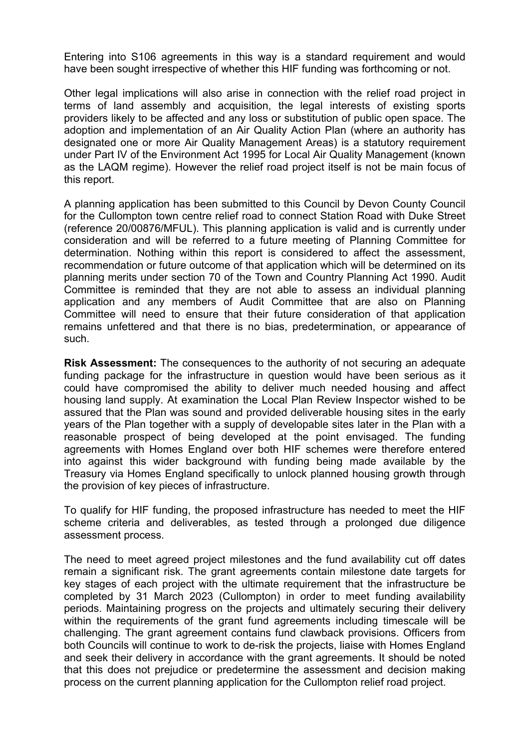Entering into S106 agreements in this way is a standard requirement and would have been sought irrespective of whether this HIF funding was forthcoming or not.

Other legal implications will also arise in connection with the relief road project in terms of land assembly and acquisition, the legal interests of existing sports providers likely to be affected and any loss or substitution of public open space. The adoption and implementation of an Air Quality Action Plan (where an authority has designated one or more Air Quality Management Areas) is a statutory requirement under Part IV of the Environment Act 1995 for Local Air Quality Management (known as the LAQM regime). However the relief road project itself is not be main focus of this report.

A planning application has been submitted to this Council by Devon County Council for the Cullompton town centre relief road to connect Station Road with Duke Street (reference 20/00876/MFUL). This planning application is valid and is currently under consideration and will be referred to a future meeting of Planning Committee for determination. Nothing within this report is considered to affect the assessment, recommendation or future outcome of that application which will be determined on its planning merits under section 70 of the Town and Country Planning Act 1990. Audit Committee is reminded that they are not able to assess an individual planning application and any members of Audit Committee that are also on Planning Committee will need to ensure that their future consideration of that application remains unfettered and that there is no bias, predetermination, or appearance of such.

**Risk Assessment:** The consequences to the authority of not securing an adequate funding package for the infrastructure in question would have been serious as it could have compromised the ability to deliver much needed housing and affect housing land supply. At examination the Local Plan Review Inspector wished to be assured that the Plan was sound and provided deliverable housing sites in the early years of the Plan together with a supply of developable sites later in the Plan with a reasonable prospect of being developed at the point envisaged. The funding agreements with Homes England over both HIF schemes were therefore entered into against this wider background with funding being made available by the Treasury via Homes England specifically to unlock planned housing growth through the provision of key pieces of infrastructure.

To qualify for HIF funding, the proposed infrastructure has needed to meet the HIF scheme criteria and deliverables, as tested through a prolonged due diligence assessment process.

The need to meet agreed project milestones and the fund availability cut off dates remain a significant risk. The grant agreements contain milestone date targets for key stages of each project with the ultimate requirement that the infrastructure be completed by 31 March 2023 (Cullompton) in order to meet funding availability periods. Maintaining progress on the projects and ultimately securing their delivery within the requirements of the grant fund agreements including timescale will be challenging. The grant agreement contains fund clawback provisions. Officers from both Councils will continue to work to de-risk the projects, liaise with Homes England and seek their delivery in accordance with the grant agreements. It should be noted that this does not prejudice or predetermine the assessment and decision making process on the current planning application for the Cullompton relief road project.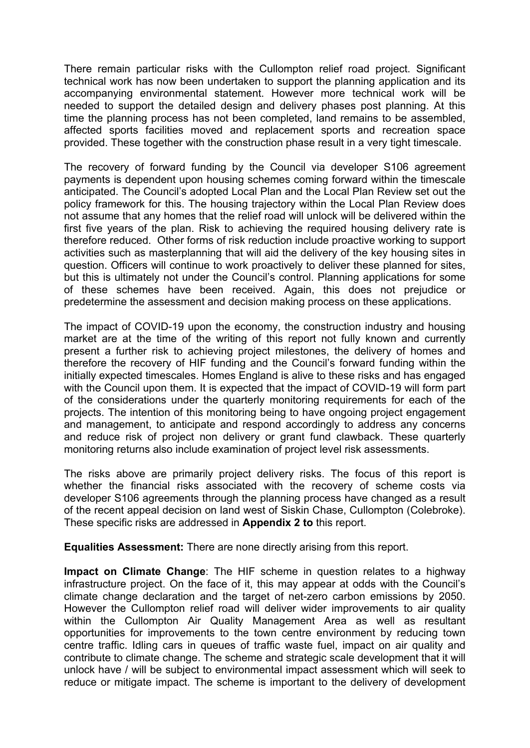There remain particular risks with the Cullompton relief road project. Significant technical work has now been undertaken to support the planning application and its accompanying environmental statement. However more technical work will be needed to support the detailed design and delivery phases post planning. At this time the planning process has not been completed, land remains to be assembled, affected sports facilities moved and replacement sports and recreation space provided. These together with the construction phase result in a very tight timescale.

The recovery of forward funding by the Council via developer S106 agreement payments is dependent upon housing schemes coming forward within the timescale anticipated. The Council's adopted Local Plan and the Local Plan Review set out the policy framework for this. The housing trajectory within the Local Plan Review does not assume that any homes that the relief road will unlock will be delivered within the first five years of the plan. Risk to achieving the required housing delivery rate is therefore reduced. Other forms of risk reduction include proactive working to support activities such as masterplanning that will aid the delivery of the key housing sites in question. Officers will continue to work proactively to deliver these planned for sites, but this is ultimately not under the Council's control. Planning applications for some of these schemes have been received. Again, this does not prejudice or predetermine the assessment and decision making process on these applications.

The impact of COVID-19 upon the economy, the construction industry and housing market are at the time of the writing of this report not fully known and currently present a further risk to achieving project milestones, the delivery of homes and therefore the recovery of HIF funding and the Council's forward funding within the initially expected timescales. Homes England is alive to these risks and has engaged with the Council upon them. It is expected that the impact of COVID-19 will form part of the considerations under the quarterly monitoring requirements for each of the projects. The intention of this monitoring being to have ongoing project engagement and management, to anticipate and respond accordingly to address any concerns and reduce risk of project non delivery or grant fund clawback. These quarterly monitoring returns also include examination of project level risk assessments.

The risks above are primarily project delivery risks. The focus of this report is whether the financial risks associated with the recovery of scheme costs via developer S106 agreements through the planning process have changed as a result of the recent appeal decision on land west of Siskin Chase, Cullompton (Colebroke). These specific risks are addressed in **Appendix 2 to** this report.

**Equalities Assessment:** There are none directly arising from this report.

**Impact on Climate Change**: The HIF scheme in question relates to a highway infrastructure project. On the face of it, this may appear at odds with the Council's climate change declaration and the target of net-zero carbon emissions by 2050. However the Cullompton relief road will deliver wider improvements to air quality within the Cullompton Air Quality Management Area as well as resultant opportunities for improvements to the town centre environment by reducing town centre traffic. Idling cars in queues of traffic waste fuel, impact on air quality and contribute to climate change. The scheme and strategic scale development that it will unlock have / will be subject to environmental impact assessment which will seek to reduce or mitigate impact. The scheme is important to the delivery of development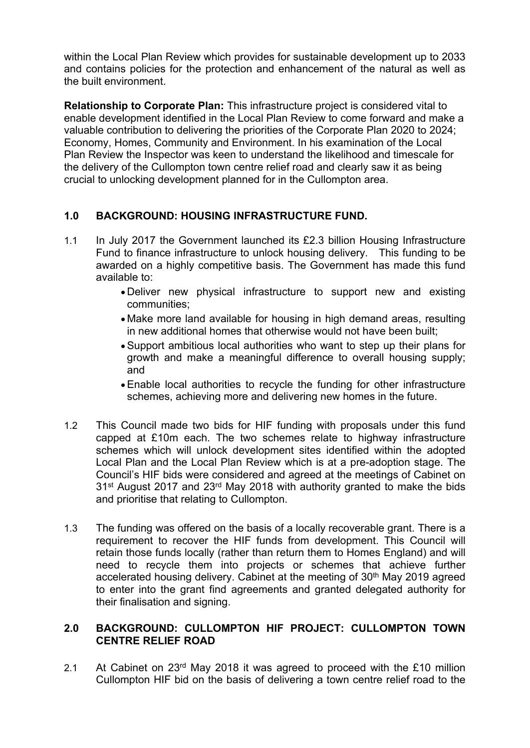within the Local Plan Review which provides for sustainable development up to 2033 and contains policies for the protection and enhancement of the natural as well as the built environment.

**Relationship to Corporate Plan:** This infrastructure project is considered vital to enable development identified in the Local Plan Review to come forward and make a valuable contribution to delivering the priorities of the Corporate Plan 2020 to 2024; Economy, Homes, Community and Environment. In his examination of the Local Plan Review the Inspector was keen to understand the likelihood and timescale for the delivery of the Cullompton town centre relief road and clearly saw it as being crucial to unlocking development planned for in the Cullompton area.

# **1.0 BACKGROUND: HOUSING INFRASTRUCTURE FUND.**

- 1.1 In July 2017 the Government launched its £2.3 billion Housing Infrastructure Fund to finance infrastructure to unlock housing delivery. This funding to be awarded on a highly competitive basis. The Government has made this fund available to:
	- Deliver new physical infrastructure to support new and existing communities;
	- Make more land available for housing in high demand areas, resulting in new additional homes that otherwise would not have been built;
	- Support ambitious local authorities who want to step up their plans for growth and make a meaningful difference to overall housing supply; and
	- Enable local authorities to recycle the funding for other infrastructure schemes, achieving more and delivering new homes in the future.
- 1.2 This Council made two bids for HIF funding with proposals under this fund capped at £10m each. The two schemes relate to highway infrastructure schemes which will unlock development sites identified within the adopted Local Plan and the Local Plan Review which is at a pre-adoption stage. The Council's HIF bids were considered and agreed at the meetings of Cabinet on 31<sup>st</sup> August 2017 and 23<sup>rd</sup> May 2018 with authority granted to make the bids and prioritise that relating to Cullompton.
- 1.3 The funding was offered on the basis of a locally recoverable grant. There is a requirement to recover the HIF funds from development. This Council will retain those funds locally (rather than return them to Homes England) and will need to recycle them into projects or schemes that achieve further accelerated housing delivery. Cabinet at the meeting of 30<sup>th</sup> May 2019 agreed to enter into the grant find agreements and granted delegated authority for their finalisation and signing.

### **2.0 BACKGROUND: CULLOMPTON HIF PROJECT: CULLOMPTON TOWN CENTRE RELIEF ROAD**

2.1 At Cabinet on 23rd May 2018 it was agreed to proceed with the £10 million Cullompton HIF bid on the basis of delivering a town centre relief road to the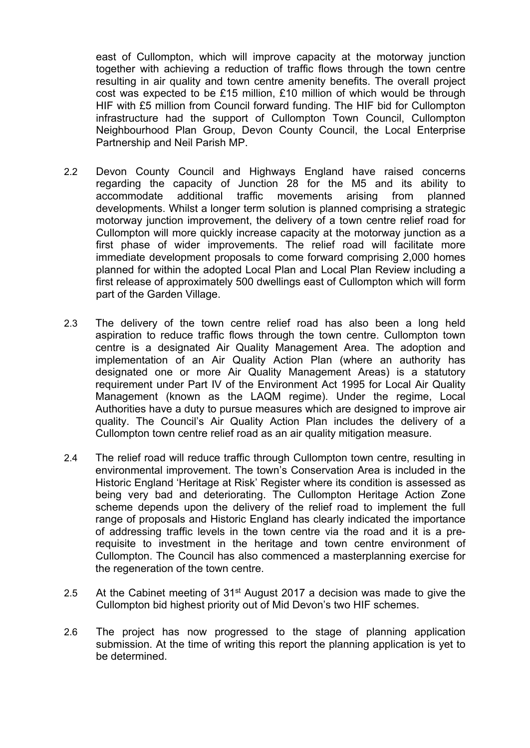east of Cullompton, which will improve capacity at the motorway junction together with achieving a reduction of traffic flows through the town centre resulting in air quality and town centre amenity benefits. The overall project cost was expected to be £15 million, £10 million of which would be through HIF with £5 million from Council forward funding. The HIF bid for Cullompton infrastructure had the support of Cullompton Town Council, Cullompton Neighbourhood Plan Group, Devon County Council, the Local Enterprise Partnership and Neil Parish MP.

- 2.2 Devon County Council and Highways England have raised concerns regarding the capacity of Junction 28 for the M5 and its ability to accommodate additional traffic movements arising from planned developments. Whilst a longer term solution is planned comprising a strategic motorway junction improvement, the delivery of a town centre relief road for Cullompton will more quickly increase capacity at the motorway junction as a first phase of wider improvements. The relief road will facilitate more immediate development proposals to come forward comprising 2,000 homes planned for within the adopted Local Plan and Local Plan Review including a first release of approximately 500 dwellings east of Cullompton which will form part of the Garden Village.
- 2.3 The delivery of the town centre relief road has also been a long held aspiration to reduce traffic flows through the town centre. Cullompton town centre is a designated Air Quality Management Area. The adoption and implementation of an Air Quality Action Plan (where an authority has designated one or more Air Quality Management Areas) is a statutory requirement under Part IV of the Environment Act 1995 for Local Air Quality Management (known as the LAQM regime). Under the regime, Local Authorities have a duty to pursue measures which are designed to improve air quality. The Council's Air Quality Action Plan includes the delivery of a Cullompton town centre relief road as an air quality mitigation measure.
- 2.4 The relief road will reduce traffic through Cullompton town centre, resulting in environmental improvement. The town's Conservation Area is included in the Historic England 'Heritage at Risk' Register where its condition is assessed as being very bad and deteriorating. The Cullompton Heritage Action Zone scheme depends upon the delivery of the relief road to implement the full range of proposals and Historic England has clearly indicated the importance of addressing traffic levels in the town centre via the road and it is a prerequisite to investment in the heritage and town centre environment of Cullompton. The Council has also commenced a masterplanning exercise for the regeneration of the town centre.
- 2.5 At the Cabinet meeting of  $31<sup>st</sup>$  August 2017 a decision was made to give the Cullompton bid highest priority out of Mid Devon's two HIF schemes.
- 2.6 The project has now progressed to the stage of planning application submission. At the time of writing this report the planning application is yet to be determined.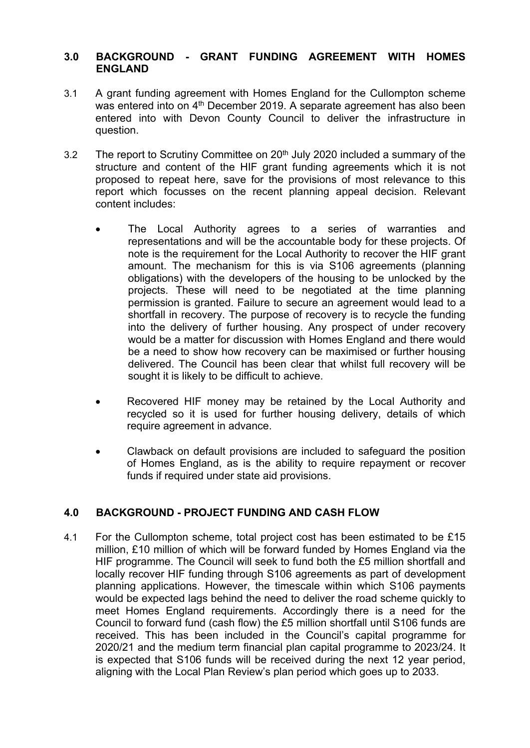#### **3.0 BACKGROUND - GRANT FUNDING AGREEMENT WITH HOMES ENGLAND**

- 3.1 A grant funding agreement with Homes England for the Cullompton scheme was entered into on 4<sup>th</sup> December 2019. A separate agreement has also been entered into with Devon County Council to deliver the infrastructure in question.
- 3.2 The report to Scrutiny Committee on  $20<sup>th</sup>$  July 2020 included a summary of the structure and content of the HIF grant funding agreements which it is not proposed to repeat here, save for the provisions of most relevance to this report which focusses on the recent planning appeal decision. Relevant content includes:
	- The Local Authority agrees to a series of warranties and representations and will be the accountable body for these projects. Of note is the requirement for the Local Authority to recover the HIF grant amount. The mechanism for this is via S106 agreements (planning obligations) with the developers of the housing to be unlocked by the projects. These will need to be negotiated at the time planning permission is granted. Failure to secure an agreement would lead to a shortfall in recovery. The purpose of recovery is to recycle the funding into the delivery of further housing. Any prospect of under recovery would be a matter for discussion with Homes England and there would be a need to show how recovery can be maximised or further housing delivered. The Council has been clear that whilst full recovery will be sought it is likely to be difficult to achieve.
	- Recovered HIF money may be retained by the Local Authority and recycled so it is used for further housing delivery, details of which require agreement in advance.
	- Clawback on default provisions are included to safeguard the position of Homes England, as is the ability to require repayment or recover funds if required under state aid provisions.

# **4.0 BACKGROUND - PROJECT FUNDING AND CASH FLOW**

4.1 For the Cullompton scheme, total project cost has been estimated to be £15 million, £10 million of which will be forward funded by Homes England via the HIF programme. The Council will seek to fund both the £5 million shortfall and locally recover HIF funding through S106 agreements as part of development planning applications. However, the timescale within which S106 payments would be expected lags behind the need to deliver the road scheme quickly to meet Homes England requirements. Accordingly there is a need for the Council to forward fund (cash flow) the £5 million shortfall until S106 funds are received. This has been included in the Council's capital programme for 2020/21 and the medium term financial plan capital programme to 2023/24. It is expected that S106 funds will be received during the next 12 year period, aligning with the Local Plan Review's plan period which goes up to 2033.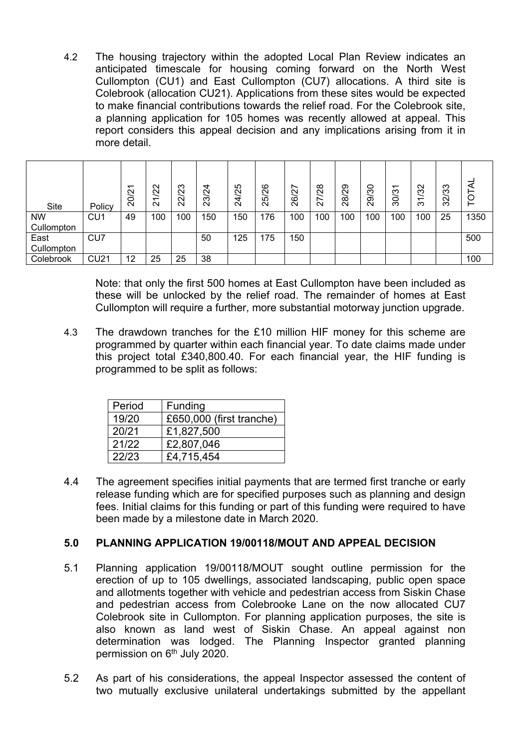4.2 The housing trajectory within the adopted Local Plan Review indicates an anticipated timescale for housing coming forward on the North West Cullompton (CU1) and East Cullompton (CU7) allocations. A third site is Colebrook (allocation CU21). Applications from these sites would be expected to make financial contributions towards the relief road. For the Colebrook site, a planning application for 105 homes was recently allowed at appeal. This report considers this appeal decision and any implications arising from it in more detail.

| <b>Site</b> | Policy          | 20/21 | $\mathbf{\Omega}$<br>Ń<br>$\overline{\phantom{0}}$<br>$\sim$ | ო<br>Q<br>ನಿ | 4<br>Q<br>ო<br>Ñ | ທ<br>4/2<br>$\tilde{\mathbf{N}}$ | 25/26 | ∼<br><b>Z</b><br>ସି | $\infty$<br>Q<br>N<br>$\sim$ | စာ<br>$\sim$<br>œ<br>$\sim$ | 0<br>ო<br>တ<br>$\sim$ | ᠆<br>ო<br>Õ<br>ო | $\mathsf{\alpha}$<br>ო<br>$\overline{\phantom{0}}$<br>ო | ო<br>ო<br>$\mathbf{\Omega}$<br>က | 0    |
|-------------|-----------------|-------|--------------------------------------------------------------|--------------|------------------|----------------------------------|-------|---------------------|------------------------------|-----------------------------|-----------------------|------------------|---------------------------------------------------------|----------------------------------|------|
| <b>NW</b>   | CU <sub>1</sub> | 49    | 100                                                          | 100          | 150              | 150                              | 176   | 100                 | 100                          | 100                         | 100                   | 100              | 100                                                     | 25                               | 1350 |
| Cullompton  |                 |       |                                                              |              |                  |                                  |       |                     |                              |                             |                       |                  |                                                         |                                  |      |
| East        | CU <sub>7</sub> |       |                                                              |              | 50               | 125                              | 175   | 150                 |                              |                             |                       |                  |                                                         |                                  | 500  |
| Cullompton  |                 |       |                                                              |              |                  |                                  |       |                     |                              |                             |                       |                  |                                                         |                                  |      |
| Colebrook   | <b>CU21</b>     | 12    | 25                                                           | 25           | 38               |                                  |       |                     |                              |                             |                       |                  |                                                         |                                  | 100  |

Note: that only the first 500 homes at East Cullompton have been included as these will be unlocked by the relief road. The remainder of homes at East Cullompton will require a further, more substantial motorway junction upgrade.

4.3 The drawdown tranches for the £10 million HIF money for this scheme are programmed by quarter within each financial year. To date claims made under this project total £340,800.40. For each financial year, the HIF funding is programmed to be split as follows:

| Period | Funding                  |
|--------|--------------------------|
| 19/20  | £650,000 (first tranche) |
| 20/21  | £1,827,500               |
| 21/22  | £2,807,046               |
| 22/23  | £4,715,454               |

4.4 The agreement specifies initial payments that are termed first tranche or early release funding which are for specified purposes such as planning and design fees. Initial claims for this funding or part of this funding were required to have been made by a milestone date in March 2020.

# **5.0 PLANNING APPLICATION 19/00118/MOUT AND APPEAL DECISION**

- 5.1 Planning application 19/00118/MOUT sought outline permission for the erection of up to 105 dwellings, associated landscaping, public open space and allotments together with vehicle and pedestrian access from Siskin Chase and pedestrian access from Colebrooke Lane on the now allocated CU7 Colebrook site in Cullompton. For planning application purposes, the site is also known as land west of Siskin Chase. An appeal against non determination was lodged. The Planning Inspector granted planning permission on 6<sup>th</sup> July 2020.
- 5.2 As part of his considerations, the appeal Inspector assessed the content of two mutually exclusive unilateral undertakings submitted by the appellant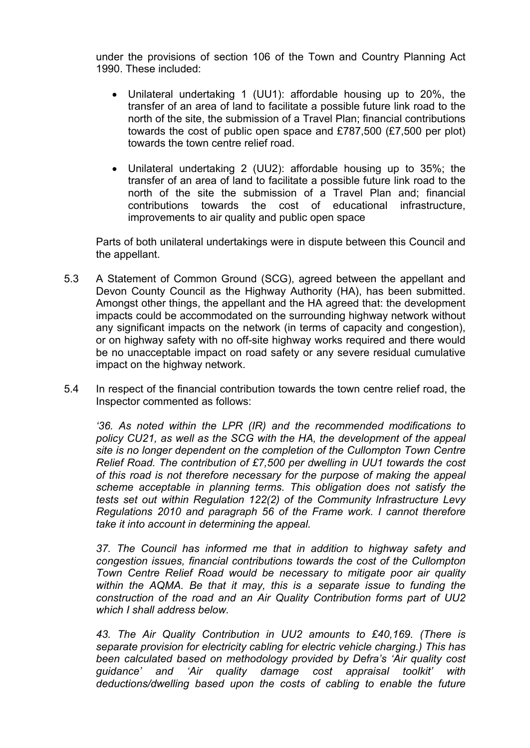under the provisions of section 106 of the Town and Country Planning Act 1990. These included:

- Unilateral undertaking 1 (UU1): affordable housing up to 20%, the transfer of an area of land to facilitate a possible future link road to the north of the site, the submission of a Travel Plan; financial contributions towards the cost of public open space and £787,500 (£7,500 per plot) towards the town centre relief road.
- Unilateral undertaking 2 (UU2): affordable housing up to 35%; the transfer of an area of land to facilitate a possible future link road to the north of the site the submission of a Travel Plan and; financial contributions towards the cost of educational infrastructure, improvements to air quality and public open space

Parts of both unilateral undertakings were in dispute between this Council and the appellant.

- 5.3 A Statement of Common Ground (SCG), agreed between the appellant and Devon County Council as the Highway Authority (HA), has been submitted. Amongst other things, the appellant and the HA agreed that: the development impacts could be accommodated on the surrounding highway network without any significant impacts on the network (in terms of capacity and congestion), or on highway safety with no off-site highway works required and there would be no unacceptable impact on road safety or any severe residual cumulative impact on the highway network.
- 5.4 In respect of the financial contribution towards the town centre relief road, the Inspector commented as follows:

*'36. As noted within the LPR (IR) and the recommended modifications to policy CU21, as well as the SCG with the HA, the development of the appeal site is no longer dependent on the completion of the Cullompton Town Centre Relief Road. The contribution of £7,500 per dwelling in UU1 towards the cost of this road is not therefore necessary for the purpose of making the appeal scheme acceptable in planning terms. This obligation does not satisfy the tests set out within Regulation 122(2) of the Community Infrastructure Levy Regulations 2010 and paragraph 56 of the Frame work. I cannot therefore take it into account in determining the appeal.*

*37. The Council has informed me that in addition to highway safety and congestion issues, financial contributions towards the cost of the Cullompton Town Centre Relief Road would be necessary to mitigate poor air quality within the AQMA. Be that it may, this is a separate issue to funding the construction of the road and an Air Quality Contribution forms part of UU2 which I shall address below.*

*43. The Air Quality Contribution in UU2 amounts to £40,169. (There is separate provision for electricity cabling for electric vehicle charging.) This has been calculated based on methodology provided by Defra's 'Air quality cost guidance' and 'Air quality damage cost appraisal toolkit' with deductions/dwelling based upon the costs of cabling to enable the future*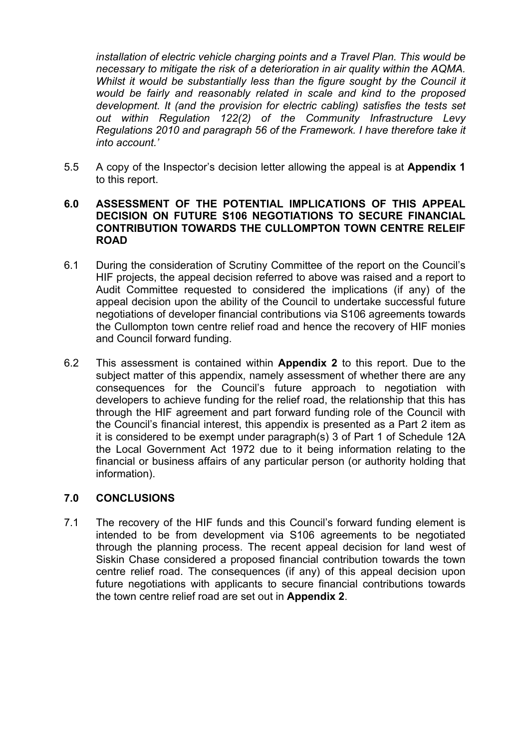*installation of electric vehicle charging points and a Travel Plan. This would be necessary to mitigate the risk of a deterioration in air quality within the AQMA. Whilst it would be substantially less than the figure sought by the Council it would be fairly and reasonably related in scale and kind to the proposed development. It (and the provision for electric cabling) satisfies the tests set out within Regulation 122(2) of the Community Infrastructure Levy Regulations 2010 and paragraph 56 of the Framework. I have therefore take it into account.'*

5.5 A copy of the Inspector's decision letter allowing the appeal is at **Appendix 1** to this report.

#### **6.0 ASSESSMENT OF THE POTENTIAL IMPLICATIONS OF THIS APPEAL DECISION ON FUTURE S106 NEGOTIATIONS TO SECURE FINANCIAL CONTRIBUTION TOWARDS THE CULLOMPTON TOWN CENTRE RELEIF ROAD**

- 6.1 During the consideration of Scrutiny Committee of the report on the Council's HIF projects, the appeal decision referred to above was raised and a report to Audit Committee requested to considered the implications (if any) of the appeal decision upon the ability of the Council to undertake successful future negotiations of developer financial contributions via S106 agreements towards the Cullompton town centre relief road and hence the recovery of HIF monies and Council forward funding.
- 6.2 This assessment is contained within **Appendix 2** to this report. Due to the subject matter of this appendix, namely assessment of whether there are any consequences for the Council's future approach to negotiation with developers to achieve funding for the relief road, the relationship that this has through the HIF agreement and part forward funding role of the Council with the Council's financial interest, this appendix is presented as a Part 2 item as it is considered to be exempt under paragraph(s) 3 of Part 1 of Schedule 12A the Local Government Act 1972 due to it being information relating to the financial or business affairs of any particular person (or authority holding that information).

#### **7.0 CONCLUSIONS**

7.1 The recovery of the HIF funds and this Council's forward funding element is intended to be from development via S106 agreements to be negotiated through the planning process. The recent appeal decision for land west of Siskin Chase considered a proposed financial contribution towards the town centre relief road. The consequences (if any) of this appeal decision upon future negotiations with applicants to secure financial contributions towards the town centre relief road are set out in **Appendix 2**.